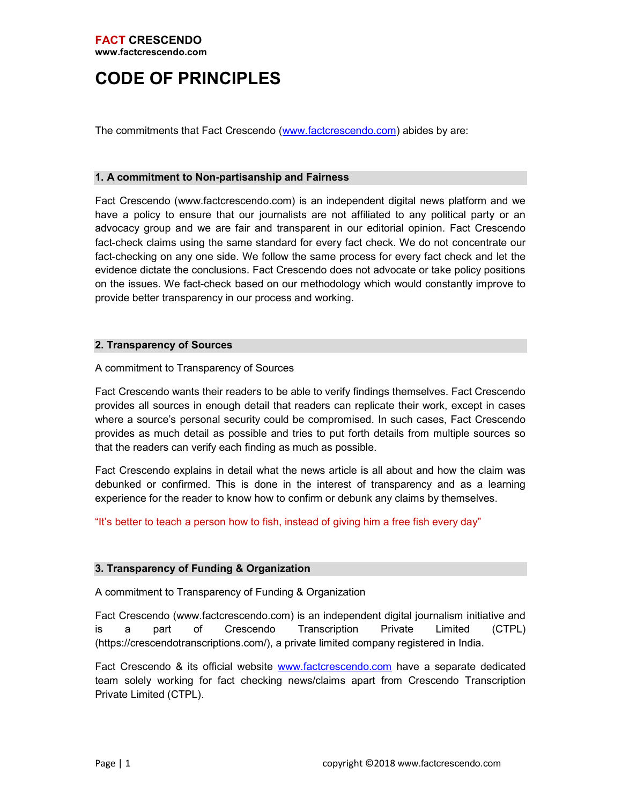# CODE OF PRINCIPLES

The commitments that Fact Crescendo (www.factcrescendo.com) abides by are:

#### 1. A commitment to Non-partisanship and Fairness

Fact Crescendo (www.factcrescendo.com) is an independent digital news platform and we have a policy to ensure that our journalists are not affiliated to any political party or an advocacy group and we are fair and transparent in our editorial opinion. Fact Crescendo fact-check claims using the same standard for every fact check. We do not concentrate our fact-checking on any one side. We follow the same process for every fact check and let the evidence dictate the conclusions. Fact Crescendo does not advocate or take policy positions on the issues. We fact-check based on our methodology which would constantly improve to provide better transparency in our process and working.

# 2. Transparency of Sources

# A commitment to Transparency of Sources

Fact Crescendo wants their readers to be able to verify findings themselves. Fact Crescendo provides all sources in enough detail that readers can replicate their work, except in cases where a source's personal security could be compromised. In such cases, Fact Crescendo provides as much detail as possible and tries to put forth details from multiple sources so that the readers can verify each finding as much as possible.

Fact Crescendo explains in detail what the news article is all about and how the claim was debunked or confirmed. This is done in the interest of transparency and as a learning experience for the reader to know how to confirm or debunk any claims by themselves.

"It's better to teach a person how to fish, instead of giving him a free fish every day"

#### 3. Transparency of Funding & Organization

A commitment to Transparency of Funding & Organization

Fact Crescendo (www.factcrescendo.com) is an independent digital journalism initiative and is a part of Crescendo Transcription Private Limited (CTPL) (https://crescendotranscriptions.com/), a private limited company registered in India.

Fact Crescendo & its official website www.factcrescendo.com have a separate dedicated team solely working for fact checking news/claims apart from Crescendo Transcription Private Limited (CTPL).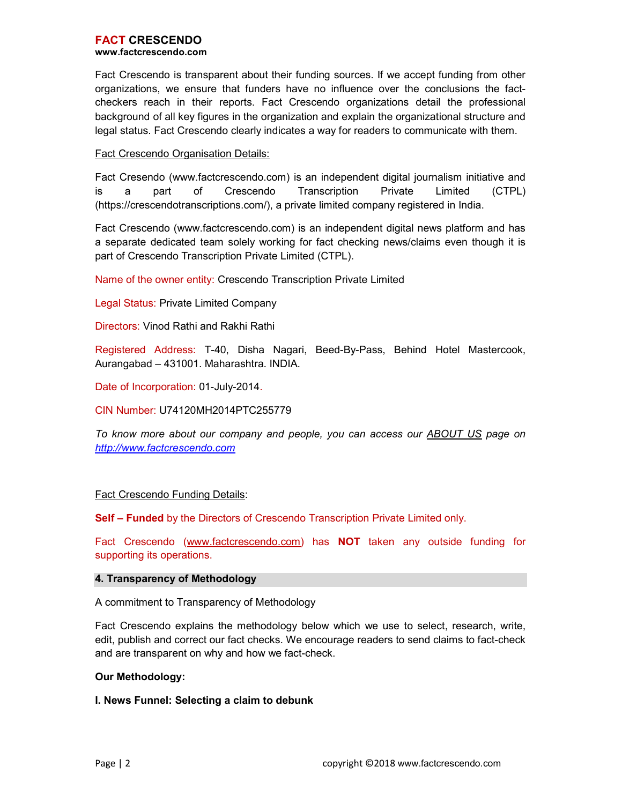Fact Crescendo is transparent about their funding sources. If we accept funding from other organizations, we ensure that funders have no influence over the conclusions the factcheckers reach in their reports. Fact Crescendo organizations detail the professional background of all key figures in the organization and explain the organizational structure and legal status. Fact Crescendo clearly indicates a way for readers to communicate with them.

# Fact Crescendo Organisation Details:

Fact Cresendo (www.factcrescendo.com) is an independent digital journalism initiative and is a part of Crescendo Transcription Private Limited (CTPL) (https://crescendotranscriptions.com/), a private limited company registered in India.

Fact Crescendo (www.factcrescendo.com) is an independent digital news platform and has a separate dedicated team solely working for fact checking news/claims even though it is part of Crescendo Transcription Private Limited (CTPL).

Name of the owner entity: Crescendo Transcription Private Limited

Legal Status: Private Limited Company

Directors: Vinod Rathi and Rakhi Rathi

Registered Address: T-40, Disha Nagari, Beed-By-Pass, Behind Hotel Mastercook, Aurangabad – 431001. Maharashtra. INDIA.

Date of Incorporation: 01-July-2014.

CIN Number: U74120MH2014PTC255779

To know more about our company and people, you can access our ABOUT US page on http://www.factcrescendo.com

# Fact Crescendo Funding Details:

Self - Funded by the Directors of Crescendo Transcription Private Limited only.

Fact Crescendo (www.factcrescendo.com) has **NOT** taken any outside funding for supporting its operations.

#### 4. Transparency of Methodology

A commitment to Transparency of Methodology

Fact Crescendo explains the methodology below which we use to select, research, write, edit, publish and correct our fact checks. We encourage readers to send claims to fact-check and are transparent on why and how we fact-check.

#### Our Methodology:

#### I. News Funnel: Selecting a claim to debunk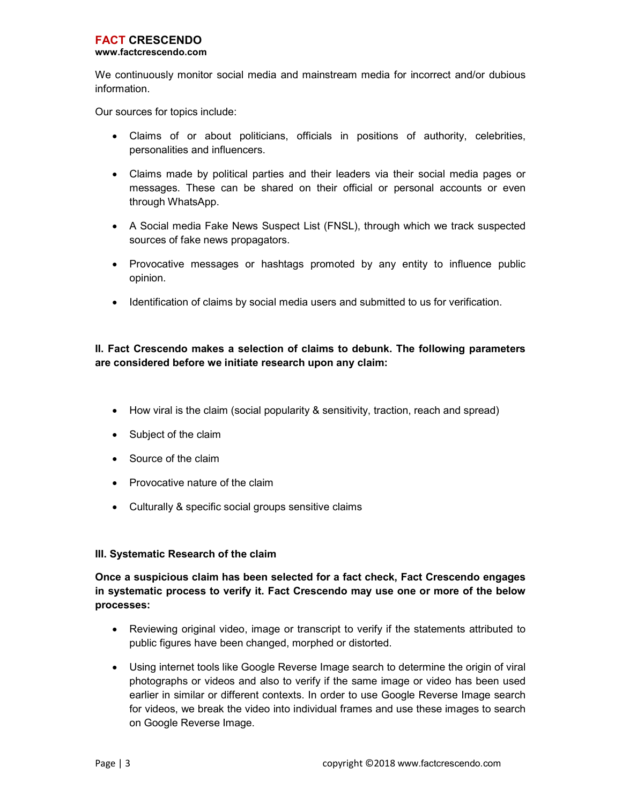We continuously monitor social media and mainstream media for incorrect and/or dubious information.

Our sources for topics include:

- Claims of or about politicians, officials in positions of authority, celebrities, personalities and influencers.
- Claims made by political parties and their leaders via their social media pages or messages. These can be shared on their official or personal accounts or even through WhatsApp.
- A Social media Fake News Suspect List (FNSL), through which we track suspected sources of fake news propagators.
- Provocative messages or hashtags promoted by any entity to influence public opinion.
- Identification of claims by social media users and submitted to us for verification.

# II. Fact Crescendo makes a selection of claims to debunk. The following parameters are considered before we initiate research upon any claim:

- How viral is the claim (social popularity & sensitivity, traction, reach and spread)
- Subject of the claim
- Source of the claim
- Provocative nature of the claim
- Culturally & specific social groups sensitive claims

# III. Systematic Research of the claim

Once a suspicious claim has been selected for a fact check, Fact Crescendo engages in systematic process to verify it. Fact Crescendo may use one or more of the below processes:

- Reviewing original video, image or transcript to verify if the statements attributed to public figures have been changed, morphed or distorted.
- Using internet tools like Google Reverse Image search to determine the origin of viral photographs or videos and also to verify if the same image or video has been used earlier in similar or different contexts. In order to use Google Reverse Image search for videos, we break the video into individual frames and use these images to search on Google Reverse Image.